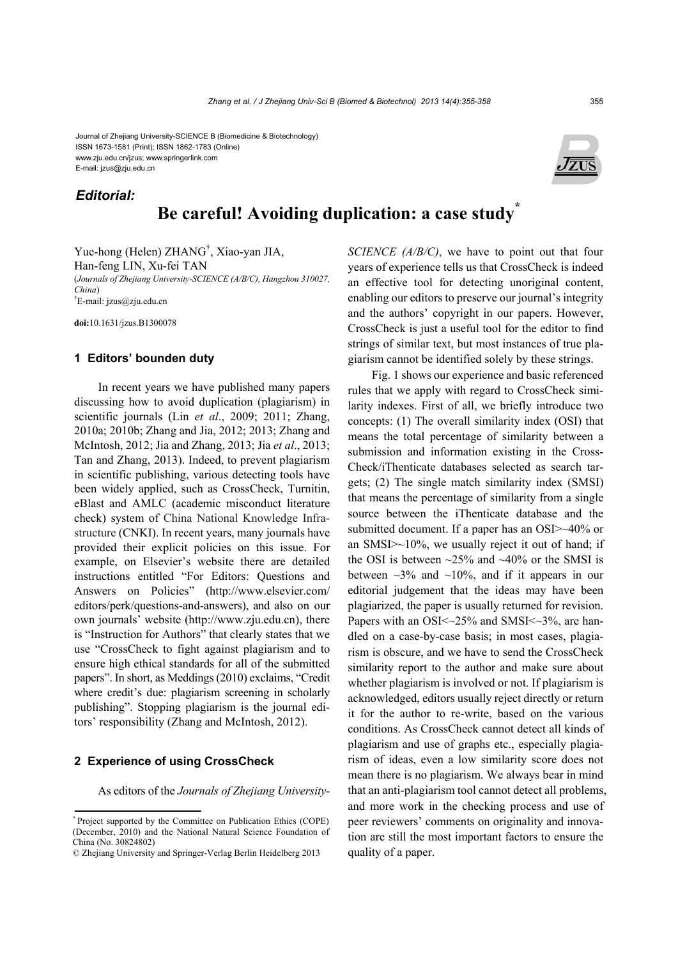Journal of Zhejiang University-SCIENCE B (Biomedicine & Biotechnology) ISSN 1673-1581 (Print); ISSN 1862-1783 (Online) www.zju.edu.cn/jzus; www.springerlink.com E-mail: jzus@zju.edu.cn

*Editorial:*

# **Be careful! Avoiding duplication: a case study\***

Yue-hong (Helen) ZHANG† , Xiao-yan JIA, Han-feng LIN, Xu-fei TAN (*Journals of Zhejiang University-SCIENCE (A/B/C), Hangzhou 310027, China*) † E-mail: jzus@zju.edu.cn

**doi:**10.1631/jzus.B1300078

## **1 Editors' bounden duty**

In recent years we have published many papers discussing how to avoid duplication (plagiarism) in scientific journals (Lin *et al*., 2009; 2011; Zhang, 2010a; 2010b; Zhang and Jia, 2012; 2013; Zhang and McIntosh, 2012; Jia and Zhang, 2013; Jia *et al*., 2013; Tan and Zhang, 2013). Indeed, to prevent plagiarism in scientific publishing, various detecting tools have been widely applied, such as CrossCheck, Turnitin, eBlast and AMLC (academic misconduct literature check) system of China National Knowledge Infrastructure (CNKI). In recent years, many journals have provided their explicit policies on this issue. For example, on Elsevier's website there are detailed instructions entitled "For Editors: Questions and Answers on Policies" (http://www.elsevier.com/ editors/perk/questions-and-answers), and also on our own journals' website (http://www.zju.edu.cn), there is "Instruction for Authors" that clearly states that we use "CrossCheck to fight against plagiarism and to ensure high ethical standards for all of the submitted papers". In short, as Meddings (2010) exclaims, "Credit where credit's due: plagiarism screening in scholarly publishing". Stopping plagiarism is the journal editors' responsibility (Zhang and McIntosh, 2012).

# **2 Experience of using CrossCheck**

As editors of the *Journals of Zhejiang University-*

*SCIENCE (A/B/C)*, we have to point out that four years of experience tells us that CrossCheck is indeed an effective tool for detecting unoriginal content, enabling our editors to preserve our journal's integrity and the authors' copyright in our papers. However, CrossCheck is just a useful tool for the editor to find strings of similar text, but most instances of true plagiarism cannot be identified solely by these strings.

Fig. 1 shows our experience and basic referenced rules that we apply with regard to CrossCheck similarity indexes. First of all, we briefly introduce two concepts: (1) The overall similarity index (OSI) that means the total percentage of similarity between a submission and information existing in the Cross-Check/iThenticate databases selected as search targets; (2) The single match similarity index (SMSI) that means the percentage of similarity from a single source between the iThenticate database and the submitted document. If a paper has an OSI>~40% or an SMSI>~10%, we usually reject it out of hand; if the OSI is between  $\sim$ 25% and  $\sim$ 40% or the SMSI is between  $\sim$ 3% and  $\sim$ 10%, and if it appears in our editorial judgement that the ideas may have been plagiarized, the paper is usually returned for revision. Papers with an OSI $\le$  -25% and SMSI $\le$  -3%, are handled on a case-by-case basis; in most cases, plagiarism is obscure, and we have to send the CrossCheck similarity report to the author and make sure about whether plagiarism is involved or not. If plagiarism is acknowledged, editors usually reject directly or return it for the author to re-write, based on the various conditions. As CrossCheck cannot detect all kinds of plagiarism and use of graphs etc., especially plagiarism of ideas, even a low similarity score does not mean there is no plagiarism. We always bear in mind that an anti-plagiarism tool cannot detect all problems, and more work in the checking process and use of peer reviewers' comments on originality and innovation are still the most important factors to ensure the quality of a paper.



<sup>\*</sup> Project supported by the Committee on Publication Ethics (COPE) (December, 2010) and the National Natural Science Foundation of China (No. 30824802)

<sup>©</sup> Zhejiang University and Springer-Verlag Berlin Heidelberg 2013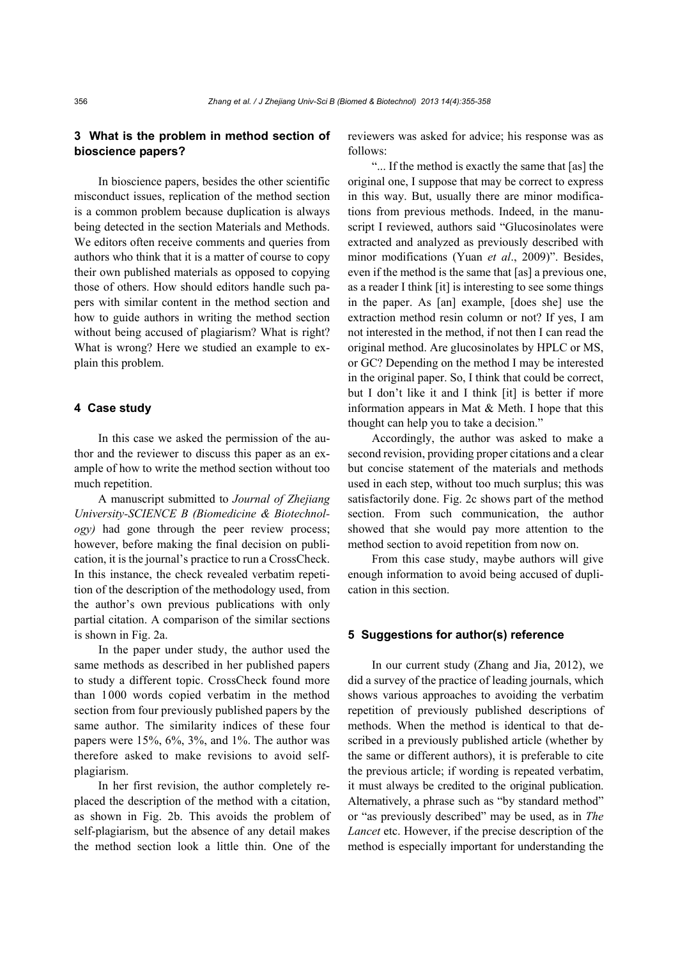# **3 What is the problem in method section of bioscience papers?**

In bioscience papers, besides the other scientific misconduct issues, replication of the method section is a common problem because duplication is always being detected in the section Materials and Methods. We editors often receive comments and queries from authors who think that it is a matter of course to copy their own published materials as opposed to copying those of others. How should editors handle such papers with similar content in the method section and how to guide authors in writing the method section without being accused of plagiarism? What is right? What is wrong? Here we studied an example to explain this problem.

# **4 Case study**

In this case we asked the permission of the author and the reviewer to discuss this paper as an example of how to write the method section without too much repetition.

A manuscript submitted to *Journal of Zhejiang University-SCIENCE B (Biomedicine & Biotechnology)* had gone through the peer review process; however, before making the final decision on publication, it is the journal's practice to run a CrossCheck. In this instance, the check revealed verbatim repetition of the description of the methodology used, from the author's own previous publications with only partial citation. A comparison of the similar sections is shown in Fig. 2a.

In the paper under study, the author used the same methods as described in her published papers to study a different topic. CrossCheck found more than 1000 words copied verbatim in the method section from four previously published papers by the same author. The similarity indices of these four papers were 15%, 6%, 3%, and 1%. The author was therefore asked to make revisions to avoid selfplagiarism.

In her first revision, the author completely replaced the description of the method with a citation, as shown in Fig. 2b. This avoids the problem of self-plagiarism, but the absence of any detail makes the method section look a little thin. One of the reviewers was asked for advice; his response was as follows:

"... If the method is exactly the same that [as] the original one, I suppose that may be correct to express in this way. But, usually there are minor modifications from previous methods. Indeed, in the manuscript I reviewed, authors said "Glucosinolates were extracted and analyzed as previously described with minor modifications (Yuan *et al*., 2009)". Besides, even if the method is the same that [as] a previous one, as a reader I think [it] is interesting to see some things in the paper. As [an] example, [does she] use the extraction method resin column or not? If yes, I am not interested in the method, if not then I can read the original method. Are glucosinolates by HPLC or MS, or GC? Depending on the method I may be interested in the original paper. So, I think that could be correct, but I don't like it and I think [it] is better if more information appears in Mat  $&$  Meth. I hope that this thought can help you to take a decision."

Accordingly, the author was asked to make a second revision, providing proper citations and a clear but concise statement of the materials and methods used in each step, without too much surplus; this was satisfactorily done. Fig. 2c shows part of the method section. From such communication, the author showed that she would pay more attention to the method section to avoid repetition from now on.

From this case study, maybe authors will give enough information to avoid being accused of duplication in this section.

#### **5 Suggestions for author(s) reference**

In our current study (Zhang and Jia, 2012), we did a survey of the practice of leading journals, which shows various approaches to avoiding the verbatim repetition of previously published descriptions of methods. When the method is identical to that described in a previously published article (whether by the same or different authors), it is preferable to cite the previous article; if wording is repeated verbatim, it must always be credited to the original publication. Alternatively, a phrase such as "by standard method" or "as previously described" may be used, as in *The Lancet* etc. However, if the precise description of the method is especially important for understanding the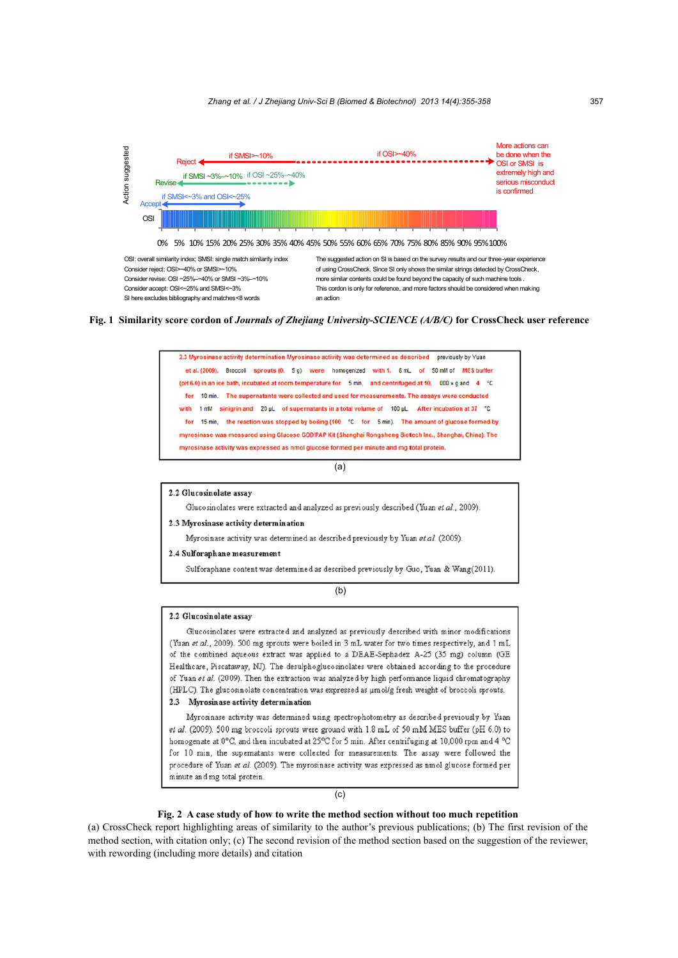

Consider reject: OSI>~40% or SMSI>~10% Consider revise: OSI ~25%–~40% or SMSI ~3%–~10% Consider accept: OSI<~25% and SMSI<~3%

of using CrossCheck. Since SI only shows the similar strings detected by CrossCheck, more similar contents could be found beyond the capacity of such machine tools . This cordon is only for reference, and more factors should be considered when making an action

**Fig. 1 Similarity score cordon of** *Journals of Zhejiang University-SCIENCE (A/B/C)* **for CrossCheck user reference**



(a)

2.2 Glucosinolate assay

Glucosinolates were extracted and analyzed as previously described (Yuan et al., 2009).

2.3 Myrosinase activity determination

Myrosinase activity was determined as described previously by Yuan et al. (2009).

#### 2.4 Sulforaphane measurement

Sulforaphane content was determined as described previously by Guo, Yuan & Wang(2011).

(b)

#### 2.2 Glucosinolate assay

Glucosinolates were extracted and analyzed as previously described with minor modifications (Yuan et al., 2009). 500 mg sprouts were boiled in 3 mL water for two times respectively, and 1 mL of the combined aqueous extract was applied to a DEAE-Sephadex A-25 (35 mg) column (GE Healthcare, Piscataway, NJ). The desulphoglucosinolates were obtained according to the procedure of Yuan et al. (2009). Then the extraction was analyzed by high performance liquid chromatography (HPLC). The glucosinolate concentration was expressed as µmol/g fresh weight of broccoli sprouts. 2.3 Myrosinase activity determination

Myrosinase activity was determined using spectrophotometry as described previously by Yuan et al. (2009). 500 mg broccoli sprouts were ground with 1.8 mL of 50 mM MES buffer (pH 6.0) to homogenate at 0°C, and then incubated at 25°C for 5 min. After centrifuging at 10,000 rpm and 4 °C for 10 min, the supernatants were collected for measurements. The assay were followed the procedure of Yuan et al. (2009). The myrosinase activity was expressed as nmol glucose formed per minute and mg total protein.

(c)

### **Fig. 2 A case study of how to write the method section without too much repetition**

(a) CrossCheck report highlighting areas of similarity to the author's previous publications; (b) The first revision of the method section, with citation only; (c) The second revision of the method section based on the suggestion of the reviewer, with rewording (including more details) and citation